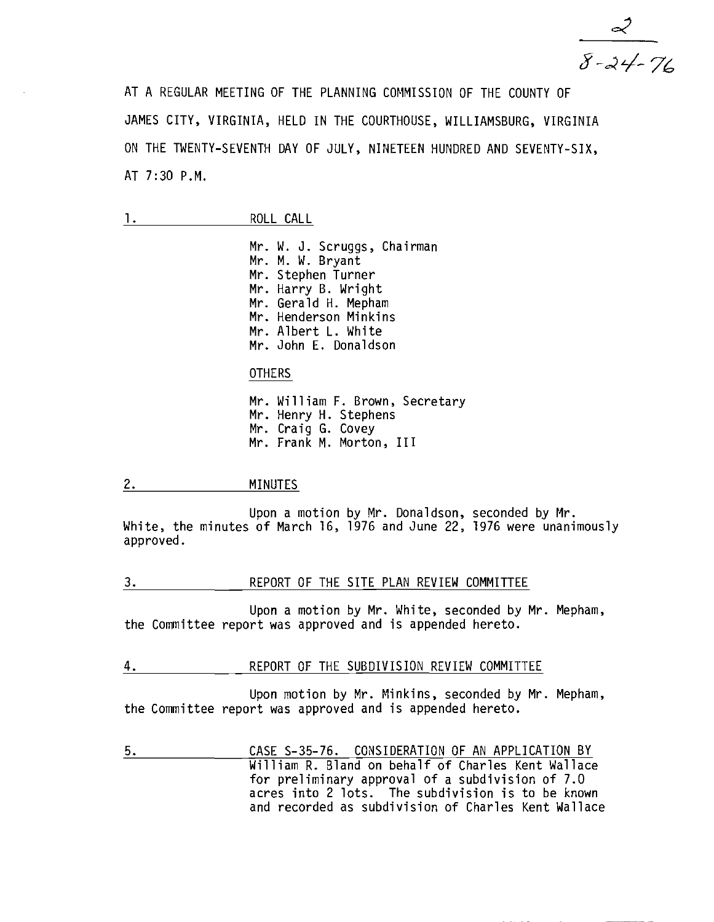$\frac{2}{8-24-76}$ 

AT A REGULAR MEETING OF THE PLANNING COMMISSION OF THE COUNTY OF JAMES CITY, VIRGINIA, HELD IN THE COURTHOUSE, WILLIAMSBURG, VIRGINIA ON THE TWENTY-SEVENTH DAY OF JULY, NINETEEN HUNDRED AND SEVENTY-SIX, AT 7:30 P.M.

Mr. W. J. Scruggs, Chairman Mr. M. W. Bryant Mr. Stephen Turner Mr. Harry B. Wright Mr. Gerald H. Mepham Mr. Henderson Minkins Mr. Albert L. White Mr. John E. Donaldson

**OTHERS** 

Mr. William F. Brown, Secretary Mr. Henry H. Stephens Mr. Craig G. Covey Mr. Frank M. Morton, III

## 2. MINUTES

Upon a motion by Mr. Donaldson, seconded by Mr. White, the minutes of March 16, 1976 and June 22, 1976 were unanimously approved.

#### 3. REPORT OF THE SITE PLAN REVIEW COMMITTEE

Upon a motion by Mr. White, seconded by Mr. Mepham, the Committee report was approved and is appended hereto.

4. REPORT OF THE SUBDIVISION REVIEW COMMITTEE

Upon motion by Mr. Minkins, seconded by Mr. Mepham, the Committee report was approved and is appended hereto.

5. CASE S-35-76. CONSIDERATION OF AN APPLICATION BY William R. Bland on behalf of Charles Kent Wallace for preliminary approval of a subdivision of 7.0 acres into 2 lots. The subdivision is to be known and recorded as subdivision of Charles Kent Wallace

<sup>1.</sup> ROLL CALL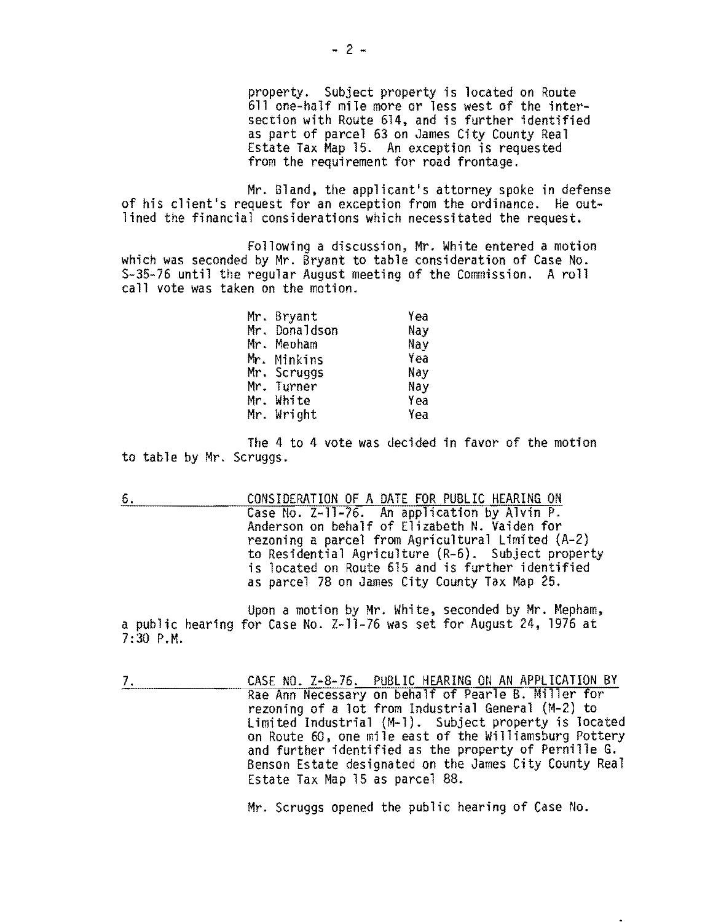property. Subject property is located on Route 611 one-half mile more or less west of the intersection with Route 614. and is further identified as part of parcel 63 on James City County Real Estate Tax Map 15. An exception is requested from the requirement for road frontage.

Mr. Bland, the applicant's attorney spoke in defense of his client's request for an exception from the ordinance. He outlined the financial considerations which necessitated the request.

Following a discussion, Mr. White entered a motion which was seconded by Mr. Bryant to table consideration of Case No. S-35-76 until the regular August meeting of the Commission. A roll call vote was taken on the motion.

| Mr. Bryant    | Yea |
|---------------|-----|
| Mr. Donaldson | Nay |
| Mr. Mepham    | Nay |
| Mr. Minkins   | Yea |
| Mr. Scruggs   | Nay |
| Mr. Turner    | Nay |
| Mr. White     | Yea |
| Mr. Wright    | Yea |

The 4 to 4 vote was decided in favor of the motion to table by Mr. Scruggs.

6. CONSIDERATION OF A DATE FOR PUBLIC HEARING ON Case No. Z-1l-76. An application by Alvin P. Anderson on behalf of Elizabeth N. Vaiden for rezoning a parcel from Agricultural Limited (A-2) to Residential Agriculture (R-6). Subject property is located on Route 615 and is further identified as parcel 78 on James City County Tax Map 25.

Upon a motion by Mr. White, seconded by Mr. Mepham, a public hearing for Case No. Z-11-76 was set for August 24, 1976 at 7:30 P.M.

7. CASE NO. Z-8-76. PUBLIC HEARING ON AN APPLICATION BY Rae Ann Necessary on behalf of Pearle B. Miller for rezoning of a lot from Industrial General {M-2} to Limited Industrial (M-l). Subject property is located and further identified as the property of Pernille G. Benson Estate designated on the James City County Real Estate Tax Map 15 as parcel 88.

Mr. Scruggs opened the public hearing of Case No.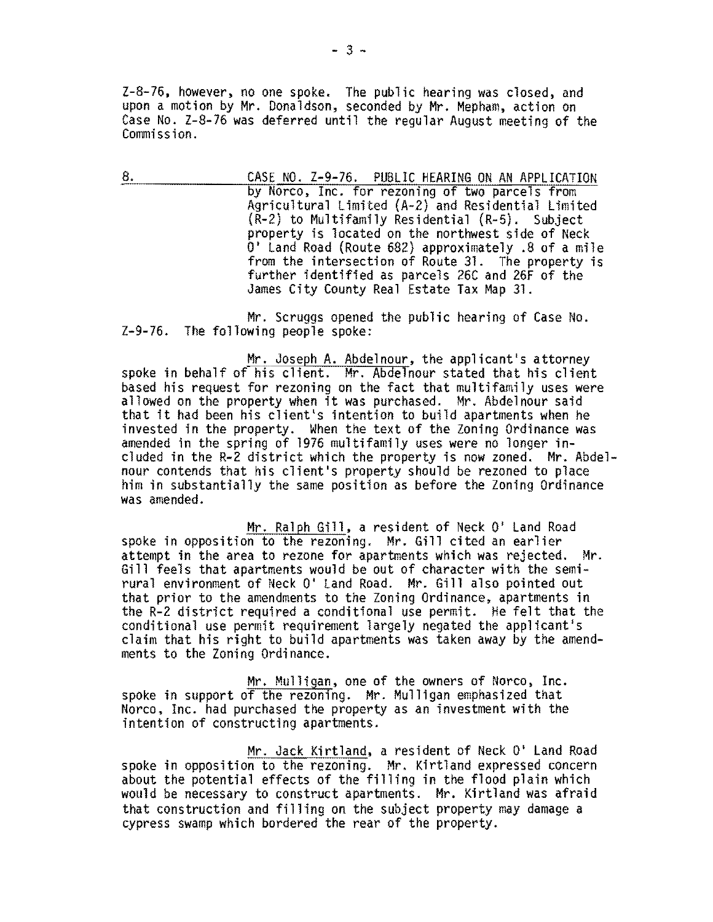Z-S-76. however. no one spoke. The public hearing was closed, and upon a motion by Mr. Donaldson, seconded by Mr. Mepham, action on Case No. Z-8-76 was deferred until the regular August meeting of the Commission.

8. CASE NO. Z-9-76. PUBLIC HEARING ON AN APPLICATION by Norco. Inc. for rezoning of two parcels from Agricultural Limited (A-2) and Residential Limited (R-2) to Multifamily Residential (R-5). Subject property is located on the northwest side of Neck 0' Land Road (Route 682) approximately .8 of a mile from the intersection of Route 31. The property is further identified as parcels 26C and 26F of the James City County Real Estate Tax Map 31.

Mr. Scruggs opened the public hearing of Case No. Z-9-76. The following people spoke:

Mr. Joseph A. Abdelnour, the applicant's attorney<br>spoke in behalf of his client. Mr. Abdelnour stated that his client based his request for rezoning on the fact that multifamily uses were allowed on the property when it was purchased. Mr. Abdelnour said that it had been his client's intention to build apartments when he invested in the property. When the text of the Zoning Ordinance was amended in the spring of 1976 multifamily uses were no longer included in the R-2 district which the property is now zoned. Mr. Abdel-<br>nour contends that his client's property should be rezoned to place him in substantially the same position as before the Zoning Ordinance was amended.

Mr. Ralph Gill. a resident of Neck 0' Land Road spoke in opposition to the rezoning. Mr. Gill cited an earlier attempt in the area to rezone for apartments which was rejected. Mr. Gill feels that apartments would be out of character with the semirural environment of Neck 0' land Road. Mr. Gill also pointed out that prior to the amendments to the Zoning Ordinance. apartments in the R-2 district required a conditional use permit. He felt that the conditional use permit requirement largely negated the applicant's claim that his right to build apartments was taken away by the amendments to the Zoning Ordinance.

Mr. Mulligan. one of the owners of Norco, Inc. spoke in support of the rezoning. Mr. Mulligan emphasized that Norco, Inc. had purchased the property as an investment with the intention of constructing apartments.

Mr. Jack Kirtland. a resident of Neck 0' Land Road spoke in opposition to the rezoning. Mr. Kirtland expressed concern about the potential effects of the filling in the flood plain which would be necessary to construct apartments. Mr. Kirtland was afraid that construction and filling on the subject property may damage a cypress swamp which bordered the rear of the property.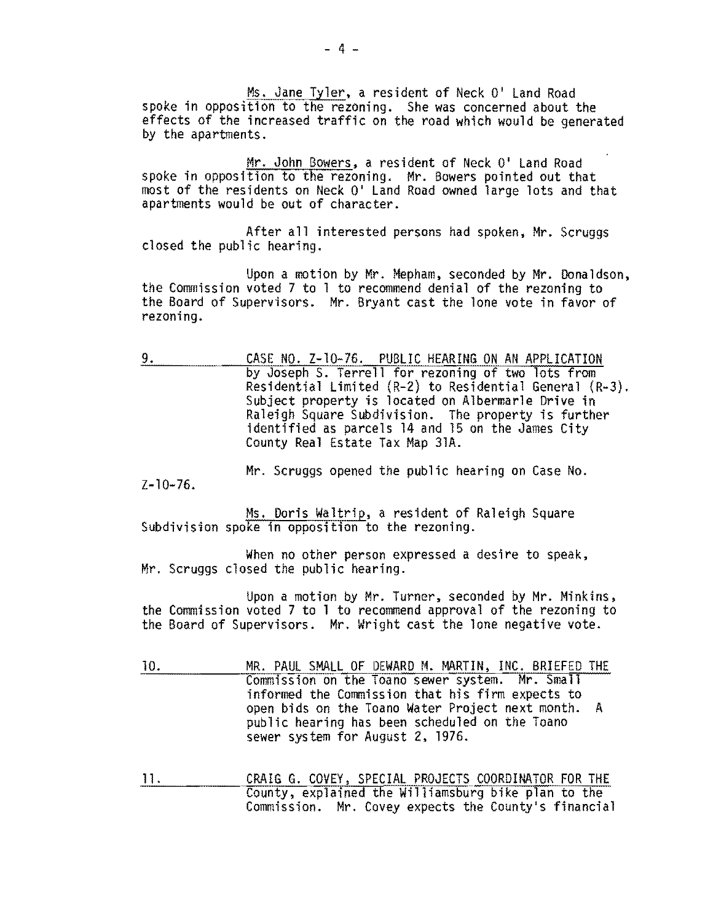Ms. Jane Tyler, a resident of Neck 0' Land Road spoke in opposition to the rezoning. She was concerned about the effects of the increased traffic on the road which would be generated by the apartments.

Mr. John Bowers. a resident of Neck 0' Land Road spoke in opposition to the rezoning. Mr. Bowers pointed out that most of the residents on Neck 0' Land Road owned large lots and that apartments would be out of character.

After all interested persons had spoken, Mr. Scruggs closed the public hearing.

Upon a motion by Mr. Mepham. seconded by Mr. Donaldson, the Commission voted 7 to 1 to recommend denial of the rezoning to the Board of Supervisors. Mr. Bryant cast the lone vote in favor of rezoning.

9. CASE NO. Z-10-76. PUBLIC HEARING ON AN APPLICATION by Joseph S. Terrell for rezoning of two lots from Residential Limited (R-2) to Residential General (R-3). Subject property is located on Albermarle Drive in Raleigh Square Subdivision. The property is further identified as parcels 14 and 15 on the James City County Real Estate Tax Map 31A.

Mr. Scruggs opened the public hearing on Case No.  $Z - 10 - 76$ .

Ms. Doris Waltrip, a resident of Raleigh Square<br>Subdivision spoke in opposition to the rezoning.

When no other person expressed a desire to speak,<br>Mr. Scruggs closed the public hearing.

Upon a motion by Mr. Turner, seconded by Mr. Minkins, the Commission voted 7 to 1 to recommend approval of the rezoning to the Board of Supervisors. Mr. Wright cast the lone negative vote.

- 10. MR. PAUL SMALL OF DEWARD M. MARTIN, INC. BRIEFED THE Commission on the Toano sewer system. Mr. Small informed the Commission that his firm expects to open bids on the Toano Water Project next month. A public hearing has been scheduled on the Toano sewer system for August 2, 1976.
- 11. CRAIG G. COVEY, SPECIAL PROJECTS COORDINATOR FOR THE County, explained the Williamsburg bike plan to the Commission. Mr. Covey expects the County's financial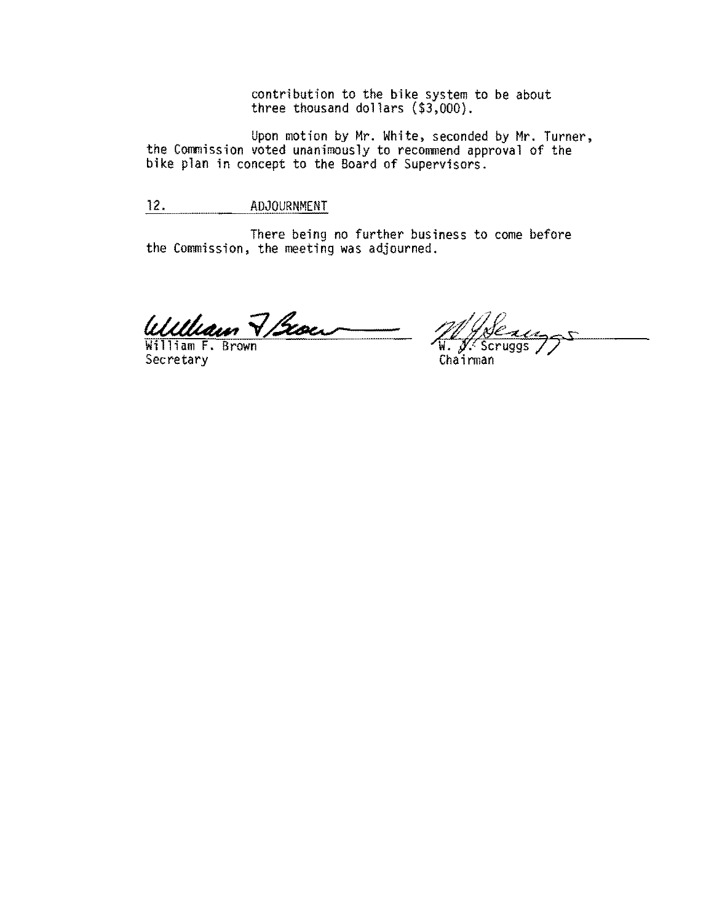contribution to the bike system to be about three thousand dollars (\$3,000).

Upon motion by Mr. White, seconded by Mr. Turner, the Commission voted unanimously to recommend approval of the bike plan in concept to the Board of Supervisors.

12. ADJOURNMENT

There being no further business to come before the Commission, the meeting was adjourned.

William 7 Scoen

Secretary

 $\rightarrow$  $\frac{1}{N}$ Scruggs Chairman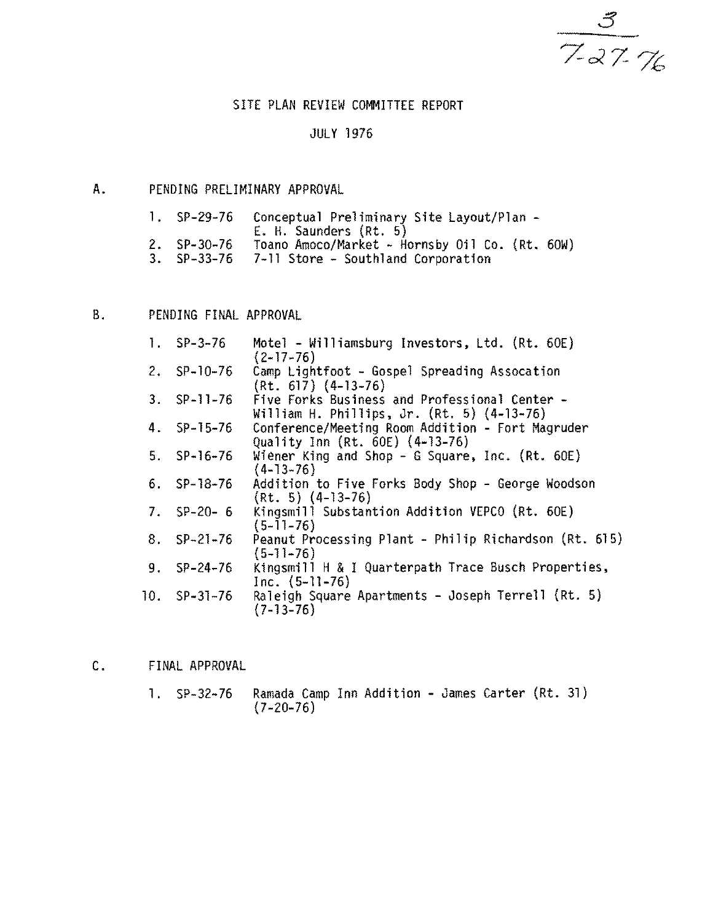$\frac{3}{727}$ 

# SITE PLAN REVIEW COMMITTEE REPORT

#### JULY 1976

### A. PENDING PRELIMINARY APPROVAL

| $1.$ SP-29-76 | Conceptual Preliminary Site Layout/Plan -      |
|---------------|------------------------------------------------|
|               | E. H. Saunders (Rt. 5)                         |
| $2.$ SP-30-76 | Toano Amoco/Market - Hornsby 0il Co. (Rt. 60W) |
| $3.$ SP-33-76 | 7-11 Store - Southland Corporation             |

B. PENDING FINAL APPROVAL

| $1.$ SP-3-76    | Motel - Williamsburg Investors, Ltd. (Rt. 60E)<br>$(2 - 17 - 76)$                           |
|-----------------|---------------------------------------------------------------------------------------------|
| 2. $SP-10-76$   | Camp Lightfoot - Gospel Spreading Assocation<br>$(Rt. 617)$ $(4-13-76)$                     |
| $3.$ SP-11-76   | Five Forks Business and Professional Center -<br>William H. Phillips, Jr. (Rt. 5) (4-13-76) |
| $4.$ SP-15-76   | Conference/Meeting Room Addition - Fort Magruder<br>Quality Inn (Rt. 60E) (4-13-76)         |
| $5.$ $SP-16-76$ | Wiener King and Shop - G Square, Inc. (Rt. $60E$ )<br>$(4-13-76)$                           |
| $6.$ $SP-18-76$ | Addition to Five Forks Body Shop - George Woodson<br>$(Rt. 5)$ $(4-13-76)$                  |
| 7. $SP-20-6$    | Kingsmill Substantion Addition VEPCO (Rt. 60E)<br>$(5-11-76)$                               |
| $8.$ SP-21-76   | Peanut Processing Plant - Philip Richardson (Rt. 615)<br>$(5 - 11 - 76)$                    |
| $9.$ $SP-24-76$ | Kingsmill H & I Quarterpath Trace Busch Properties,<br>Inc. $(5-11-76)$                     |
| $10.$ SP-31-76  | Raleigh Square Apartments - Joseph Terrell (Rt. 5)<br>$(7-13-76)$                           |

C. FINAL APPROVAL

1. SP-32-76 Ramada Camp Inn Addition - James Carter (Rt. 31)  $(7-20-76)$